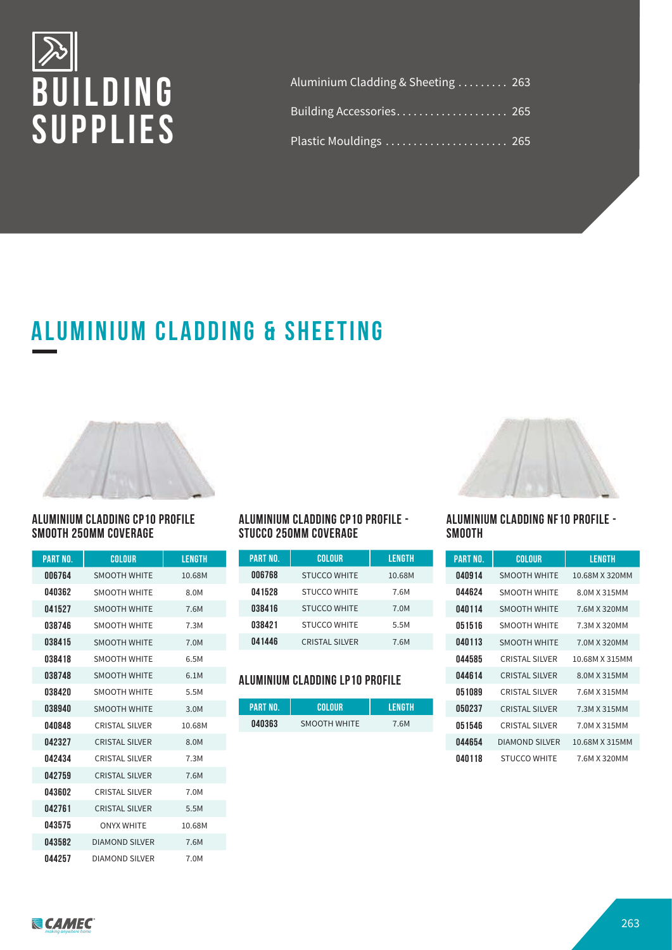

| Aluminium Cladding & Sheeting 263 |  |
|-----------------------------------|--|
| Building Accessories 265          |  |
| Plastic Mouldings  265            |  |

# **Aluminium CLADDING & SHEETING**



#### **ALUMINIUM CLADDING CP10 PROFILE SMOOTH 250MM COVERAGE**

| PART NO. | COLOUR                | LENGTH |
|----------|-----------------------|--------|
| 006764   | <b>SMOOTH WHITE</b>   | 10.68M |
| 040362   | <b>SMOOTH WHITE</b>   | 8.0M   |
| 041527   | <b>SMOOTH WHITE</b>   | 7.6M   |
| 038746   | <b>SMOOTH WHITE</b>   | 7.3M   |
| 038415   | <b>SMOOTH WHITE</b>   | 7.0M   |
| 038418   | <b>SMOOTH WHITE</b>   | 6.5M   |
| 038748   | <b>SMOOTH WHITE</b>   | 6.1M   |
| 038420   | <b>SMOOTH WHITE</b>   | 5.5M   |
| 038940   | <b>SMOOTH WHITE</b>   | 3.0M   |
| 040848   | <b>CRISTAL SILVER</b> | 10.68M |
| 042327   | <b>CRISTAL SILVER</b> | 8.0M   |
| 042434   | <b>CRISTAL SILVER</b> | 7.3M   |
| 042759   | <b>CRISTAL SILVER</b> | 7.6M   |
| 043602   | <b>CRISTAL SILVER</b> | 7.0M   |
| 042761   | <b>CRISTAL SILVER</b> | 5.5M   |
| 043575   | <b>ONYX WHITE</b>     | 10.68M |
| 043582   | <b>DIAMOND SILVER</b> | 7.6M   |
| 044257   | <b>DIAMOND SILVER</b> | 7.0M   |

#### **ALUMINIUM CLADDING CP10 PROFILE - STUCCO 250MM COVERAGE**

| <b>PART NO.</b> | COLOUR                | LENGTH |
|-----------------|-----------------------|--------|
| 006768          | <b>STUCCO WHITE</b>   | 10.68M |
| 041528          | <b>STUCCO WHITE</b>   | 7.6M   |
| 038416          | <b>STUCCO WHITE</b>   | 7.0M   |
| 038421          | <b>STUCCO WHITE</b>   | 5.5M   |
| 041446          | <b>CRISTAL SILVER</b> | 7.6M   |

#### **ALUMINIUM CLADDING LP10 PROFILE**

| PART NO. | <b>COLOUR</b>       | LENGTH |
|----------|---------------------|--------|
| 040363   | <b>SMOOTH WHITE</b> | 7.6M   |



#### **ALUMINIUM CLADDING NF10 PROFILE - SMOOTH**

| PART NO. | COLOUR                | LENGTH         |
|----------|-----------------------|----------------|
| 040914   | <b>SMOOTH WHITE</b>   | 10.68M X 320MM |
| 044624   | <b>SMOOTH WHITE</b>   | 8.0M X 315MM   |
| 040114   | <b>SMOOTH WHITE</b>   | 7.6M X 320MM   |
| 051516   | SMOOTH WHITE          | 7.3M X 320MM   |
| 040113   | <b>SMOOTH WHITE</b>   | 7.0M X 320MM   |
| 044585   | CRISTAL SILVER        | 10.68M X 315MM |
| 044614   | <b>CRISTAL SILVER</b> | 8.0M X 315MM   |
| 051089   | CRISTAL SILVER        | 7.6M X 315MM   |
| 050237   | <b>CRISTAL SILVER</b> | 7.3M X 315MM   |
| 051546   | <b>CRISTAL SILVER</b> | 7.0M X 315MM   |
| 044654   | <b>DIAMOND SILVER</b> | 10.68M X 315MM |
| 040118   | <b>STUCCO WHITE</b>   | 7.6M X 320MM   |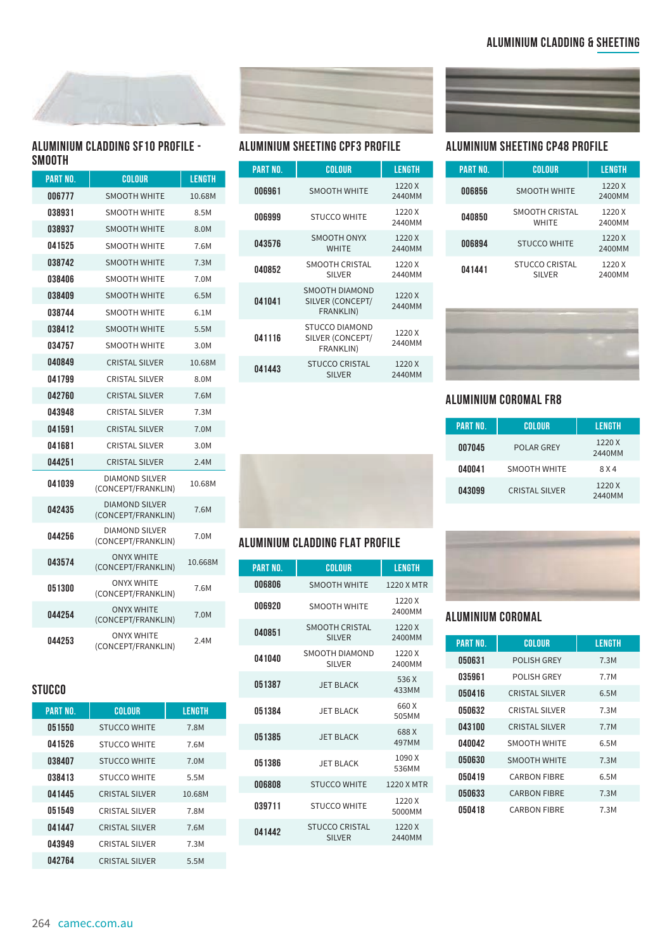

#### **ALUMINIUM CLADDING SF10 PROFILE - SMOOTH**

| <b>PART NO.</b> | <b>COLOUR</b>                               | <b>LENGTH</b> |
|-----------------|---------------------------------------------|---------------|
| 006777          | <b>SMOOTH WHITE</b>                         | 10.68M        |
| 038931          | <b>SMOOTH WHITE</b>                         | 8.5M          |
| 038937          | <b>SMOOTH WHITE</b>                         | 8.0M          |
| 041525          | <b>SMOOTH WHITE</b>                         | 7.6M          |
| 038742          | <b>SMOOTH WHITE</b>                         | 7.3M          |
| 038406          | <b>SMOOTH WHITE</b>                         | 7.0M          |
| 038409          | <b>SMOOTH WHITE</b>                         | 6.5M          |
| 038744          | <b>SMOOTH WHITE</b>                         | 6.1M          |
| 038412          | <b>SMOOTH WHITE</b>                         | 5.5M          |
| 034757          | <b>SMOOTH WHITE</b>                         | 3.0M          |
| 040849          | <b>CRISTAL SILVER</b>                       | 10.68M        |
| 041799          | <b>CRISTAL SILVER</b>                       | 8.0M          |
| 042760          | <b>CRISTAL SILVER</b>                       | 7.6M          |
| 043948          | <b>CRISTAL SILVER</b>                       | 7.3M          |
| 041591          | <b>CRISTAL SILVER</b>                       | 7.0M          |
| 041681          | <b>CRISTAL SILVER</b>                       | 3.0M          |
| 044251          | <b>CRISTAL SILVER</b>                       | 2.4M          |
| 041039          | <b>DIAMOND SILVER</b><br>(CONCEPT/FRANKLIN) | 10.68M        |
| 042435          | <b>DIAMOND SILVER</b><br>(CONCEPT/FRANKLIN) | 7.6M          |
| 044256          | <b>DIAMOND SILVER</b><br>(CONCEPT/FRANKLIN) | 7.0M          |
| 043574          | <b>ONYX WHITE</b><br>(CONCEPT/FRANKLIN)     | 10.668M       |
| 051300          | <b>ONYX WHITE</b><br>(CONCEPT/FRANKLIN)     | 7.6M          |
| 044254          | <b>ONYX WHITE</b><br>(CONCEPT/FRANKLIN)     | 7.0M          |
| 044253          | <b>ONYX WHITE</b><br>(CONCEPT/FRANKLIN)     | 2.4M          |

## **STUCCO**

| <b>PART NO.</b> | <b>COLOUR</b>         | <b>LENGTH</b> |
|-----------------|-----------------------|---------------|
| 051550          | <b>STUCCO WHITE</b>   | 7.8M          |
| 041526          | <b>STUCCO WHITE</b>   | 7.6M          |
| 038407          | <b>STUCCO WHITE</b>   | 7.0M          |
| 038413          | <b>STUCCO WHITE</b>   | 5.5M          |
| 041445          | <b>CRISTAL SILVER</b> | 10.68M        |
| 051549          | <b>CRISTAL SILVER</b> | 7.8M          |
| 041447          | <b>CRISTAL SILVER</b> | 7.6M          |
| 043949          | <b>CRISTAL SILVER</b> | 7.3M          |
| 042764          | <b>CRISTAL SILVER</b> | 5.5M          |



| <b>PART NO.</b> | COLOUR                                                 | <b>LENGTH</b>    |
|-----------------|--------------------------------------------------------|------------------|
| 006961          | <b>SMOOTH WHITE</b>                                    | 1220 X<br>2440MM |
| 006999          | <b>STUCCO WHITE</b>                                    | 1220 X<br>2440MM |
| 043576          | SMOOTH ONYX<br><b>WHITE</b>                            | 1220 X<br>2440MM |
| 040852          | SMOOTH CRISTAL<br><b>SILVER</b>                        | 1220 X<br>2440MM |
| 041041          | SMOOTH DIAMOND<br>SILVER (CONCEPT/<br><b>FRANKLIN)</b> | 1220 X<br>2440MM |
| 041116          | <b>STUCCO DIAMOND</b><br>SILVER (CONCEPT/<br>FRANKLIN) | 1220 X<br>2440MM |
| 041443          | <b>STUCCO CRISTAL</b><br><b>SILVER</b>                 | 1220 X<br>2440MM |



### **ALUMINIUM CLADDING FLAT PROFILE**

| <b>PART NO.</b> | <b>COLOUR</b>                          | LENGTH           |
|-----------------|----------------------------------------|------------------|
| 006806          | <b>SMOOTH WHITE</b>                    | 1220 X MTR       |
| 006920          | <b>SMOOTH WHITE</b>                    | 1220 X<br>2400MM |
| 040851          | <b>SMOOTH CRISTAL</b><br><b>SILVER</b> | 1220 X<br>2400MM |
| 041040          | SMOOTH DIAMOND<br><b>SILVER</b>        | 1220 X<br>2400MM |
| 051387          | JFT BLACK                              | 536 X<br>433MM   |
| 051384          | JFT BLACK                              | 660 X<br>505MM   |
| 051385          | JFT BLACK                              | 688 X<br>497MM   |
| 051386          | JFT BLACK                              | 1090 X<br>536MM  |
| 006808          | <b>STUCCO WHITE</b>                    | 1220 X MTR       |
| 039711          | <b>STUCCO WHITE</b>                    | 1220 X<br>5000MM |
| 041442          | <b>STUCCO CRISTAL</b><br><b>SILVER</b> | 1220 X<br>2440MM |



### **ALUMINIUM SHEETING CPF3 PROFILE ALUMINIUM SHEETING CP48 PROFILE**

| <b>PART NO.</b> | COLOUR                                 | LENGTH           |
|-----------------|----------------------------------------|------------------|
| 006856          | <b>SMOOTH WHITE</b>                    | 1220 X<br>2400MM |
| 040850          | <b>SMOOTH CRISTAL</b><br><b>WHITE</b>  | 1220 X<br>2400MM |
| 006894          | <b>STUCCO WHITE</b>                    | 1220 X<br>2400MM |
| 041441          | <b>STUCCO CRISTAL</b><br><b>SILVER</b> | 1220 X<br>2400MM |



#### **ALUMINIUM COROMAL FR8**

| <b>PART NO.</b> | COLOUR                | LENGTH           |
|-----------------|-----------------------|------------------|
| 007045          | <b>POLAR GREY</b>     | 1220 X<br>2440MM |
| 040041          | <b>SMOOTH WHITE</b>   | 8 X 4            |
| 043099          | <b>CRISTAL SILVER</b> | 1220 X<br>2440MM |



#### **ALUMINIUM COROMAL**

| <b>PART NO.</b> | <b>COLOUR</b>         | <b>LENGTH</b> |
|-----------------|-----------------------|---------------|
| 050631          | <b>POLISH GREY</b>    | 7.3M          |
| 035961          | POLISH GREY           | 7.7M          |
| 050416          | <b>CRISTAL SILVER</b> | 6.5M          |
| 050632          | CRISTAL SILVER        | 7.3M          |
| 043100          | <b>CRISTAL SILVER</b> | 7.7M          |
| 040042          | <b>SMOOTH WHITE</b>   | 6.5M          |
| 050630          | <b>SMOOTH WHITE</b>   | 7.3M          |
| 050419          | <b>CARBON FIBRE</b>   | 6.5M          |
| 050633          | <b>CARBON FIBRE</b>   | 7.3M          |
| 050418          | <b>CARBON FIBRE</b>   | 7.3M          |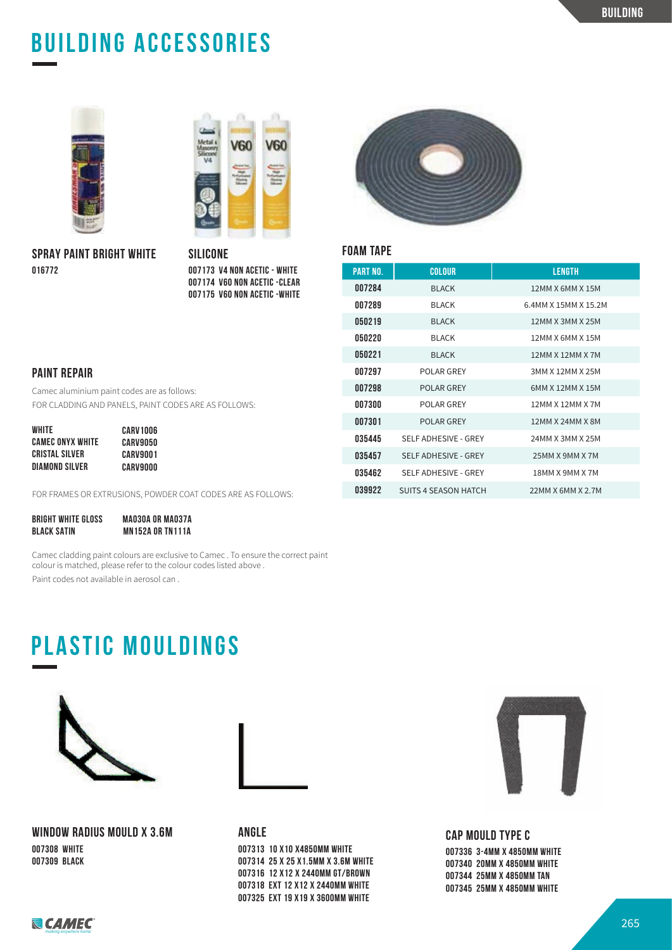# **BUILDING ACCESSORIES**



**SPRAY PAINT BRIGHT WHITE 016772**



**SILICONE 007173 V4 NON ACETIC - WHITE 007174 V60 NON ACETIC -CLEAR 007175 V60 NON ACETIC -WHITE**



#### **FOAM TAPE**

| <b>PART NO.</b> | COLOUR                      | LENGTH               |
|-----------------|-----------------------------|----------------------|
| 007284          | <b>BLACK</b>                | 12MM X 6MM X 15M     |
| 007289          | <b>BI ACK</b>               | 6.4MM X 15MM X 15.2M |
| 050219          | <b>BI ACK</b>               | 12MM X 3MM X 25M     |
| 050220          | <b>BI ACK</b>               | 12MM X 6MM X 15M     |
| 050221          | <b>BI ACK</b>               | 12MM X 12MM X 7M     |
| 007297          | POLAR GREY                  | 3MM X 12MM X 25M     |
| 007298          | POLAR GREY                  | 6MM X 12MM X 15M     |
| 007300          | POLAR GREY                  | 12MM X 12MM X 7M     |
| 007301          | <b>POLAR GREY</b>           | 12MM X 24MM X 8M     |
| 035445          | SELF ADHESIVE - GREY        | 24MM X 3MM X 25M     |
| 035457          | <b>SELF ADHESIVE - GREY</b> | 25MM X 9MM X 7M      |
| 035462          | SELF ADHESIVE - GREY        | 18MM X 9MM X 7M      |
| 039922          | SUITS 4 SEASON HATCH        | 22MM X 6MM X 2.7M    |

#### **PAINT REPAIR**

Camec aluminium paint codes are as follows: FOR CLADDING AND PANELS, PAINT CODES ARE AS FOLLOWS:

| WHITE                   | CARV1006 |
|-------------------------|----------|
| <b>CAMEC ONYX WHITE</b> | CARV9050 |
| CRISTAL SILVER          | CARV9001 |
| DIAMOND SILVER          | CARV9000 |

FOR FRAMES OR EXTRUSIONS, POWDER COAT CODES ARE AS FOLLOWS:

| <b>BRIGHT WHITE GLOSS</b> | MA030A OR MA037A        |
|---------------------------|-------------------------|
| <b>BLACK SATIN</b>        | <b>MN152A OR TN111A</b> |

Camec cladding paint colours are exclusive to Camec . To ensure the correct paint colour is matched, please refer to the colour codes listed above . Paint codes not available in aerosol can .

# **PLASTIC MOULDINGS**



**WINDOW RADIUS MOULD X 3.6M 007308 WHITE 007309 BLACK**



**ANGLE** 

**007313 10 X10 X4850MM WHITE 007314 25 X 25 X1.5MM X 3.6M WHITE 007316 12 X12 X 2440MM GT/BROWN 007318 EXT 12 X12 X 2440MM WHITE 007325 EXT 19 X19 X 3600MM WHITE**



**CAP MOULD TYPE C**

**007336 3-4MM X 4850MM WHITE 007340 20MM X 4850MM WHITE 007344 25MM X 4850MM TAN 007345 25MM X 4850MM WHITE**

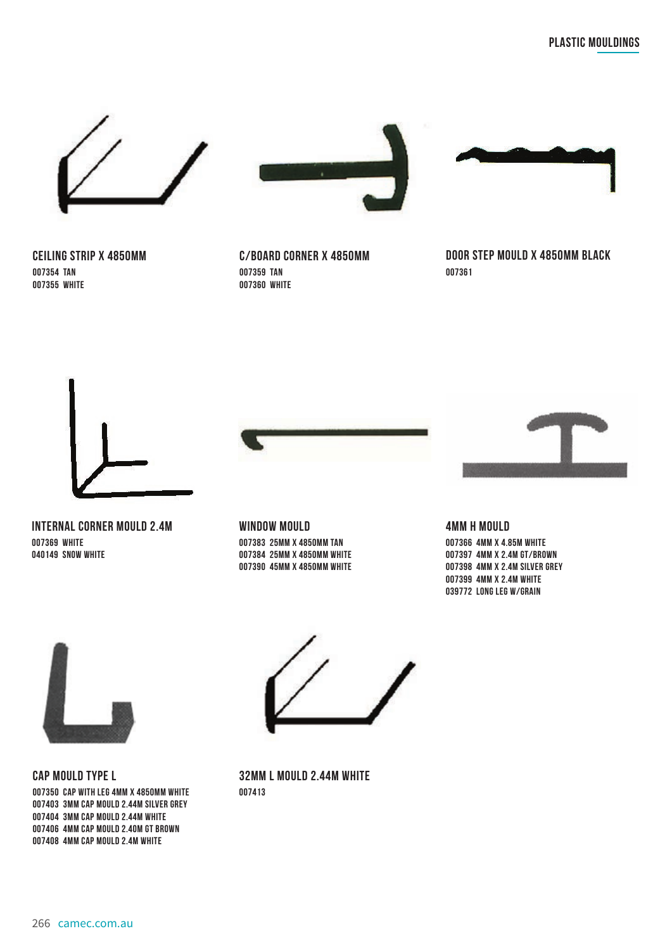

**CEILING STRIP X 4850MM 007354 TAN 007355 WHITE**



**C/BOARD CORNER X 4850MM 007359 TAN 007360 WHITE**



**DOOR STEP MOULD X 4850MM BLACK 007361**



**INTERNAL CORNER MOULD 2.4M 007369 WHITE 040149 SNOW WHITE**



**WINDOW MOULD 007383 25MM X 4850MM TAN 007384 25MM X 4850MM WHITE 007390 45MM X 4850MM WHITE**



#### **4MM H MOULD**

**007366 4MM X 4.85M WHITE 007397 4MM X 2.4M GT/BROWN 007398 4MM X 2.4M SILVER GREY 007399 4MM X 2.4M WHITE 039772 LONG LEG W/GRAIN**



**CAP MOULD TYPE L 007350 CAP WITH LEG 4MM X 4850MM WHITE 007403 3MM CAP MOULD 2.44M SILVER GREY 007404 3MM CAP MOULD 2.44M WHITE 007406 4MM CAP MOULD 2.40M GT BROWN 007408 4MM CAP MOULD 2.4M WHITE**



**32MM L MOULD 2.44M WHITE 007413**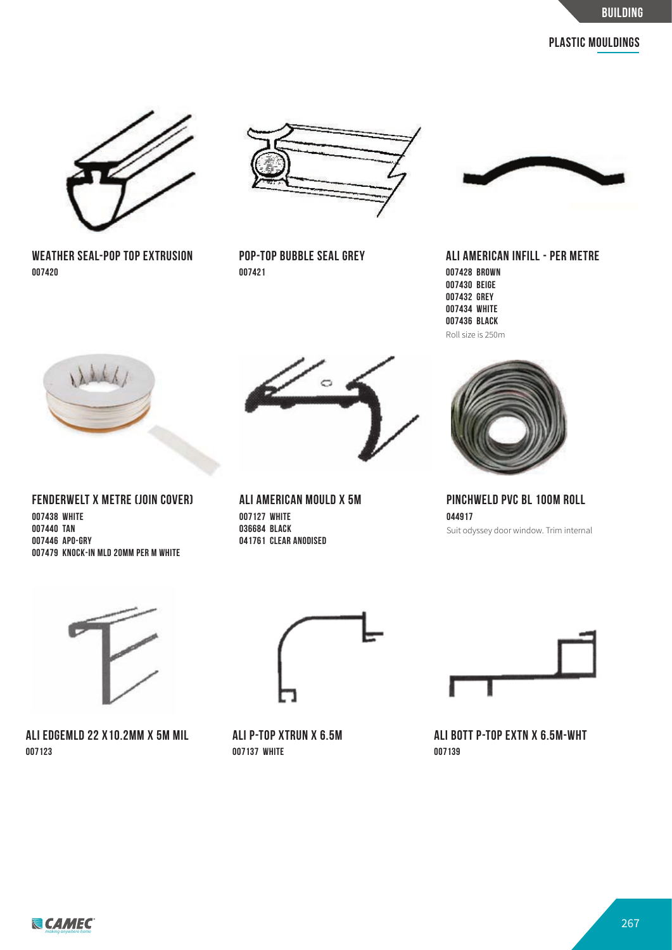

**WEATHER SEAL-POP TOP EXTRUSION 007420**



**POP-TOP BUBBLE SEAL GREY 007421**



**ALI AMERICAN INFILL - PER METRE 007428 BROWN 007430 BEIGE 007432 GREY 007434 WHITE 007436 BLACK** Roll size is 250m



**FENDERWELT X METRE (JOIN COVER) 007438 WHITE 007440 TAN 007446 APO-GRY 007479 KNOCK-IN MLD 20MM PER M WHITE**



**ALI AMERICAN MOULD X 5M 007127 WHITE 036684 BLACK 041761 CLEAR ANODISED**



**PINCHWELD PVC BL 100M ROLL 044917** Suit odyssey door window. Trim internal



**ALI EDGEMLD 22 X10.2MM X 5M MIL 007123**



**ALI P-TOP XTRUN X 6.5M 007137 WHITE**



**ALI BOTT P-TOP EXTN X 6.5M-WHT 007139**

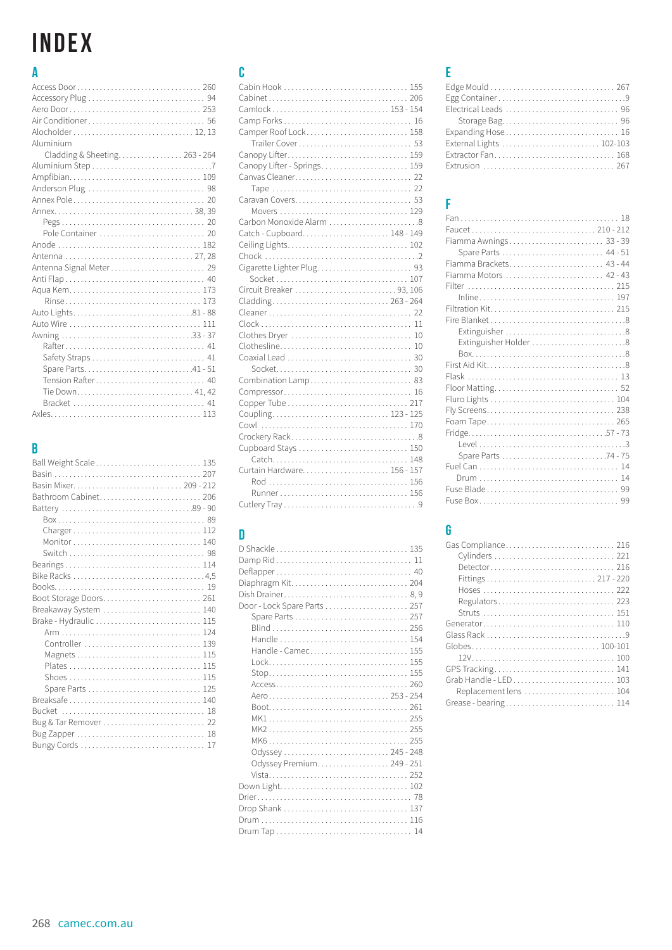# INDEX

## $\overline{\mathbf{A}}$

| Alocholder 12, 13             |  |
|-------------------------------|--|
| Aluminium                     |  |
| Cladding & Sheeting 263 - 264 |  |
|                               |  |
|                               |  |
|                               |  |
|                               |  |
|                               |  |
|                               |  |
| Pole Container  20            |  |
|                               |  |
|                               |  |
|                               |  |
|                               |  |
|                               |  |
|                               |  |
|                               |  |
|                               |  |
|                               |  |
|                               |  |
|                               |  |
| Spare Parts41-51              |  |
| Tension Rafter 40             |  |
| Tie Down 41, 42               |  |
|                               |  |
|                               |  |
|                               |  |

## $\overline{B}$

| Ball Weight Scale 135 |
|-----------------------|
|                       |
|                       |
| Bathroom Cabinet 206  |
|                       |
|                       |
|                       |
|                       |
|                       |
|                       |
|                       |
|                       |
|                       |
| Breakaway System  140 |
|                       |
|                       |
| Controller  139       |
|                       |
|                       |
|                       |
| Spare Parts  125      |
| Breaksafe 140         |
|                       |
| Bug & Tar Remover  22 |
|                       |
|                       |

# $\mathbf{c}$

| Cabin Hook  155             |  |
|-----------------------------|--|
|                             |  |
| Camlock 153 - 154           |  |
|                             |  |
| Camper Roof Lock 158        |  |
|                             |  |
|                             |  |
| Canopy Lifter - Springs 159 |  |
|                             |  |
|                             |  |
|                             |  |
|                             |  |
| Carbon Monoxide Alarm 8     |  |
| Catch - Cupboard 148 - 149  |  |
|                             |  |
|                             |  |
|                             |  |
|                             |  |
| Circuit Breaker 93, 106     |  |
|                             |  |
|                             |  |
|                             |  |
|                             |  |
|                             |  |
|                             |  |
|                             |  |
| Combination Lamp 83         |  |
|                             |  |
|                             |  |
| Coupling 123 - 125          |  |
|                             |  |
|                             |  |
| Cupboard Stays  150         |  |
|                             |  |
|                             |  |
|                             |  |
|                             |  |
|                             |  |

## $\begin{array}{c} \n\end{array}$

| Door - Lock Spare Parts  257 |
|------------------------------|
|                              |
|                              |
|                              |
|                              |
| Handle - Camec 155           |
|                              |
|                              |
|                              |
|                              |
|                              |
|                              |
|                              |
|                              |
|                              |
| Odyssey 245 - 248            |
| Odyssey Premium 249 - 251    |
|                              |
|                              |
|                              |
|                              |
|                              |
|                              |
|                              |

# $\bar{\text{E}}$

| Expanding Hose 16 |
|-------------------|
|                   |
|                   |
| Extrusion  267    |
|                   |

# Ė

| Faucet 210 - 212        |
|-------------------------|
| Fiamma Awnings 33 - 39  |
| Spare Parts  44 - 51    |
| Fiamma Brackets 43 - 44 |
| Fiamma Motors  42 - 43  |
|                         |
|                         |
|                         |
|                         |
|                         |
| Extinguisher Holder 8   |
|                         |
|                         |
|                         |
|                         |
|                         |
|                         |
|                         |
|                         |
|                         |
| Spare Parts 74 - 75     |
|                         |
|                         |
|                         |
|                         |
|                         |

# $\mathbf{G}$

| Detector 216          |
|-----------------------|
|                       |
|                       |
| Regulators 223        |
|                       |
|                       |
|                       |
|                       |
|                       |
|                       |
|                       |
| Replacement lens  104 |
| Grease - bearing 114  |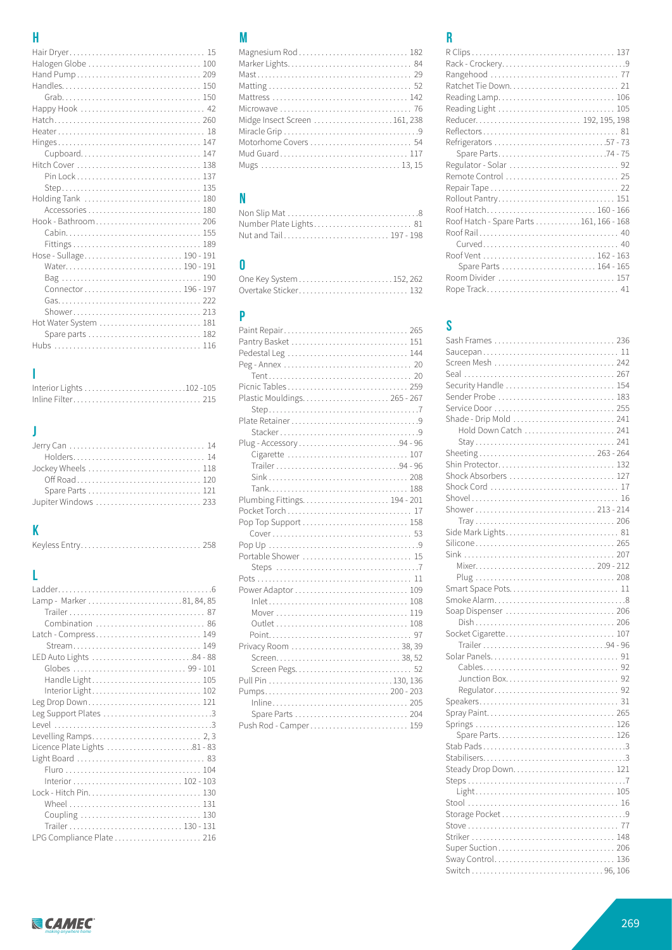# $\overline{\mathbf{H}}$

| Cupboard 147             |  |
|--------------------------|--|
|                          |  |
|                          |  |
|                          |  |
| Holding Tank  180        |  |
|                          |  |
|                          |  |
|                          |  |
|                          |  |
|                          |  |
| Hose - Sullage 190 - 191 |  |
| Water 190 - 191          |  |
|                          |  |
|                          |  |
|                          |  |
|                          |  |
|                          |  |
|                          |  |
|                          |  |

## $\mathbf{I}$

# $\begin{array}{c} \end{array}$

| Holders 14           |  |
|----------------------|--|
| Jockey Wheels  118   |  |
|                      |  |
|                      |  |
| Jupiter Windows  233 |  |
|                      |  |

# $\mathbf K$

# $\mathsf L$

| Combination  86   |
|-------------------|
|                   |
| Stream 149        |
|                   |
|                   |
|                   |
|                   |
| Leg Drop Down 121 |
|                   |
|                   |
|                   |
|                   |
|                   |
|                   |
|                   |
|                   |
|                   |
|                   |
|                   |
|                   |
|                   |

# $\boldsymbol{\mathsf{M}}$

| Magnesium Rod  182           |
|------------------------------|
|                              |
|                              |
|                              |
|                              |
|                              |
| Midge Insect Screen 161, 238 |
|                              |
| Motorhome Covers  54         |
| Mud Guard 117                |
|                              |

# $\pmb{\mathsf{N}}$

| Number Plate Lights 81 |
|------------------------|
| Nut and Tail 197 - 198 |

| - 0 |  |
|-----|--|
|     |  |
|     |  |

# $\mathbf{P}$

| Paint Repair 265         |  |
|--------------------------|--|
| Pantry Basket  151       |  |
|                          |  |
|                          |  |
|                          |  |
| Picnic Tables 259        |  |
|                          |  |
|                          |  |
|                          |  |
|                          |  |
| Plug - Accessory 94 - 96 |  |
|                          |  |
|                          |  |
|                          |  |
|                          |  |
|                          |  |
|                          |  |
| Pop Top Support  158     |  |
|                          |  |
|                          |  |
| Portable Shower  15      |  |
|                          |  |
|                          |  |
| Power Adaptor  109       |  |
|                          |  |
|                          |  |
|                          |  |
|                          |  |
| Privacy Room  38, 39     |  |
|                          |  |
|                          |  |
|                          |  |
| Pumps 200 - 203          |  |
|                          |  |
| Spare Parts  204         |  |
| Push Rod - Camper 159    |  |

# $\overline{\mathbf{R}}$

| Roof Hatch - Spare Parts 161, 166 - 168 |
|-----------------------------------------|
|                                         |
|                                         |
|                                         |
|                                         |
|                                         |
|                                         |

# $\mathbf S$

| Sash Frames  236       |  |
|------------------------|--|
|                        |  |
|                        |  |
|                        |  |
| Security Handle  154   |  |
| Sender Probe  183      |  |
|                        |  |
| Shade - Drip Mold  241 |  |
| Hold Down Catch  241   |  |
|                        |  |
| Sheeting 263 - 264     |  |
| Shin Protector 132     |  |
| Shock Absorbers  127   |  |
|                        |  |
|                        |  |
|                        |  |
|                        |  |
| Side Mark Lights 81    |  |
|                        |  |
|                        |  |
|                        |  |
|                        |  |
| Smart Space Pots 11    |  |
|                        |  |
| Soap Dispenser  206    |  |
|                        |  |
| Socket Cigarette 107   |  |
|                        |  |
|                        |  |
|                        |  |
|                        |  |
|                        |  |
|                        |  |
| Spray Paint 265        |  |
|                        |  |
|                        |  |
| Spare Parts 126        |  |
|                        |  |
|                        |  |
| Steady Drop Down 121   |  |
|                        |  |
|                        |  |
|                        |  |
|                        |  |
|                        |  |
|                        |  |
| Super Suction  206     |  |
| Sway Control 136       |  |
| Switch<br>$96-106$     |  |